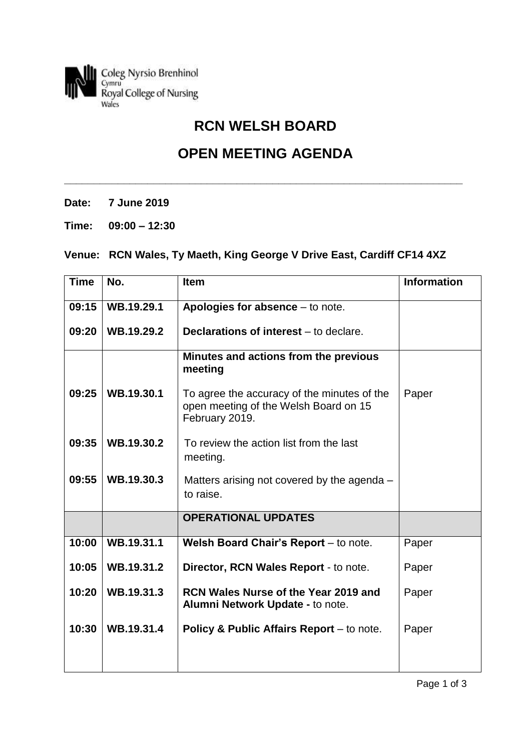

## **RCN WELSH BOARD**

## **OPEN MEETING AGENDA**

**\_\_\_\_\_\_\_\_\_\_\_\_\_\_\_\_\_\_\_\_\_\_\_\_\_\_\_\_\_\_\_\_\_\_\_\_\_\_\_\_\_\_\_\_\_\_\_\_\_\_\_\_\_\_\_\_\_\_\_\_\_\_\_\_\_\_\_**

**Date: 7 June 2019**

**Time: 09:00 – 12:30**

## **Venue: RCN Wales, Ty Maeth, King George V Drive East, Cardiff CF14 4XZ**

| <b>Time</b> | No.        | <b>Item</b>                                                                                            | <b>Information</b> |
|-------------|------------|--------------------------------------------------------------------------------------------------------|--------------------|
| 09:15       | WB.19.29.1 | Apologies for absence - to note.                                                                       |                    |
| 09:20       | WB.19.29.2 | Declarations of interest - to declare.                                                                 |                    |
|             |            | Minutes and actions from the previous<br>meeting                                                       |                    |
| 09:25       | WB.19.30.1 | To agree the accuracy of the minutes of the<br>open meeting of the Welsh Board on 15<br>February 2019. | Paper              |
| 09:35       | WB.19.30.2 | To review the action list from the last<br>meeting.                                                    |                    |
| 09:55       | WB.19.30.3 | Matters arising not covered by the agenda -<br>to raise.                                               |                    |
|             |            | <b>OPERATIONAL UPDATES</b>                                                                             |                    |
| 10:00       | WB.19.31.1 | Welsh Board Chair's Report - to note.                                                                  | Paper              |
| 10:05       | WB.19.31.2 | Director, RCN Wales Report - to note.                                                                  | Paper              |
| 10:20       | WB.19.31.3 | RCN Wales Nurse of the Year 2019 and<br>Alumni Network Update - to note.                               | Paper              |
| 10:30       | WB.19.31.4 | Policy & Public Affairs Report – to note.                                                              | Paper              |
|             |            |                                                                                                        |                    |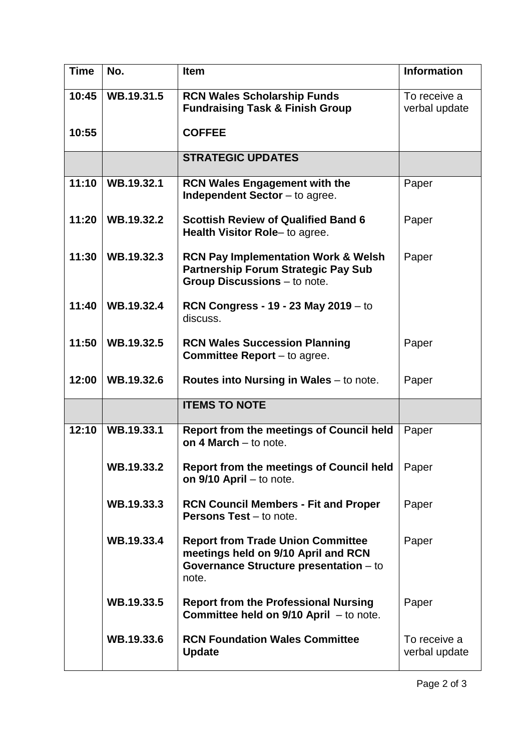| <b>Time</b> | No.        | <b>Item</b>                                                                                                                        | <b>Information</b>            |
|-------------|------------|------------------------------------------------------------------------------------------------------------------------------------|-------------------------------|
| 10:45       | WB.19.31.5 | <b>RCN Wales Scholarship Funds</b><br><b>Fundraising Task &amp; Finish Group</b>                                                   | To receive a<br>verbal update |
| 10:55       |            | <b>COFFEE</b>                                                                                                                      |                               |
|             |            | <b>STRATEGIC UPDATES</b>                                                                                                           |                               |
| 11:10       | WB.19.32.1 | <b>RCN Wales Engagement with the</b><br><b>Independent Sector</b> $-$ to agree.                                                    | Paper                         |
| 11:20       | WB.19.32.2 | <b>Scottish Review of Qualified Band 6</b><br>Health Visitor Role- to agree.                                                       | Paper                         |
| 11:30       | WB.19.32.3 | <b>RCN Pay Implementation Work &amp; Welsh</b><br><b>Partnership Forum Strategic Pay Sub</b><br>Group Discussions - to note.       | Paper                         |
| 11:40       | WB.19.32.4 | <b>RCN Congress - 19 - 23 May 2019 - to</b><br>discuss.                                                                            |                               |
| 11:50       | WB.19.32.5 | <b>RCN Wales Succession Planning</b><br><b>Committee Report</b> $-$ to agree.                                                      | Paper                         |
| 12:00       | WB.19.32.6 | <b>Routes into Nursing in Wales</b> – to note.                                                                                     | Paper                         |
|             |            | <b>ITEMS TO NOTE</b>                                                                                                               |                               |
| 12:10       | WB.19.33.1 | <b>Report from the meetings of Council held</b><br>on 4 March - to note.                                                           | Paper                         |
|             | WB.19.33.2 | <b>Report from the meetings of Council held</b><br>on $9/10$ April – to note.                                                      | Paper                         |
|             | WB.19.33.3 | <b>RCN Council Members - Fit and Proper</b><br><b>Persons Test</b> – to note.                                                      | Paper                         |
|             | WB.19.33.4 | <b>Report from Trade Union Committee</b><br>meetings held on 9/10 April and RCN<br>Governance Structure presentation - to<br>note. | Paper                         |
|             | WB.19.33.5 | <b>Report from the Professional Nursing</b><br><b>Committee held on <math>9/10</math> April</b> $-$ to note.                       | Paper                         |
|             | WB.19.33.6 | <b>RCN Foundation Wales Committee</b><br><b>Update</b>                                                                             | To receive a<br>verbal update |